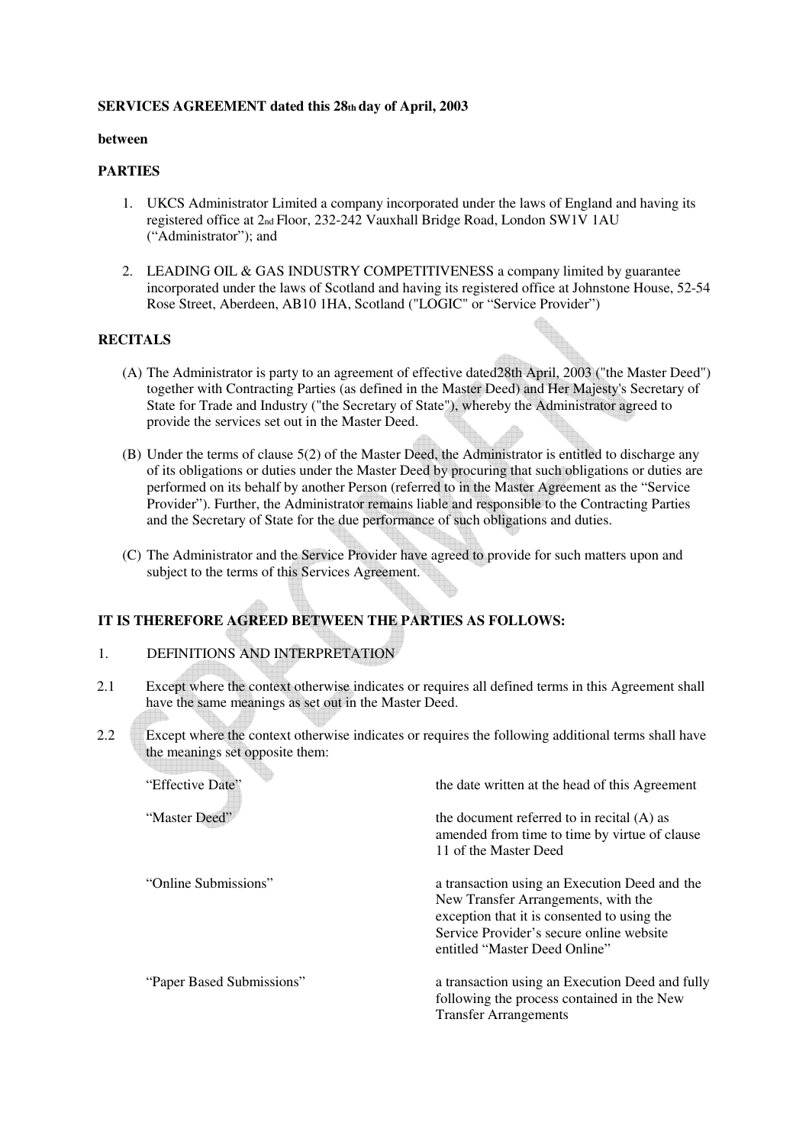### **SERVICES AGREEMENT dated this 28th day of April, 2003**

#### **between**

### **PARTIES**

- 1. UKCS Administrator Limited a company incorporated under the laws of England and having its registered office at 2nd Floor, 232-242 Vauxhall Bridge Road, London SW1V 1AU ("Administrator"); and
- 2. LEADING OIL & GAS INDUSTRY COMPETITIVENESS a company limited by guarantee incorporated under the laws of Scotland and having its registered office at Johnstone House, 52-54 Rose Street, Aberdeen, AB10 1HA, Scotland ("LOGIC" or "Service Provider")

#### **RECITALS**

- (A) The Administrator is party to an agreement of effective dated28th April, 2003 ("the Master Deed") together with Contracting Parties (as defined in the Master Deed) and Her Majesty's Secretary of State for Trade and Industry ("the Secretary of State"), whereby the Administrator agreed to provide the services set out in the Master Deed.
- (B) Under the terms of clause 5(2) of the Master Deed, the Administrator is entitled to discharge any of its obligations or duties under the Master Deed by procuring that such obligations or duties are performed on its behalf by another Person (referred to in the Master Agreement as the "Service Provider"). Further, the Administrator remains liable and responsible to the Contracting Parties and the Secretary of State for the due performance of such obligations and duties.
- (C) The Administrator and the Service Provider have agreed to provide for such matters upon and subject to the terms of this Services Agreement.

# **IT IS THEREFORE AGREED BETWEEN THE PARTIES AS FOLLOWS:**

### 1. DEFINITIONS AND INTERPRETATION

- 2.1 Except where the context otherwise indicates or requires all defined terms in this Agreement shall have the same meanings as set out in the Master Deed.
- 2.2 Except where the context otherwise indicates or requires the following additional terms shall have the meanings set opposite them:

| "Effective Date"          | the date written at the head of this Agreement                                                                                                                                                                   |
|---------------------------|------------------------------------------------------------------------------------------------------------------------------------------------------------------------------------------------------------------|
| "Master Deed"             | the document referred to in recital $(A)$ as<br>amended from time to time by virtue of clause<br>11 of the Master Deed                                                                                           |
| "Online Submissions"      | a transaction using an Execution Deed and the<br>New Transfer Arrangements, with the<br>exception that it is consented to using the<br>Service Provider's secure online website<br>entitled "Master Deed Online" |
| "Paper Based Submissions" | a transaction using an Execution Deed and fully<br>following the process contained in the New<br><b>Transfer Arrangements</b>                                                                                    |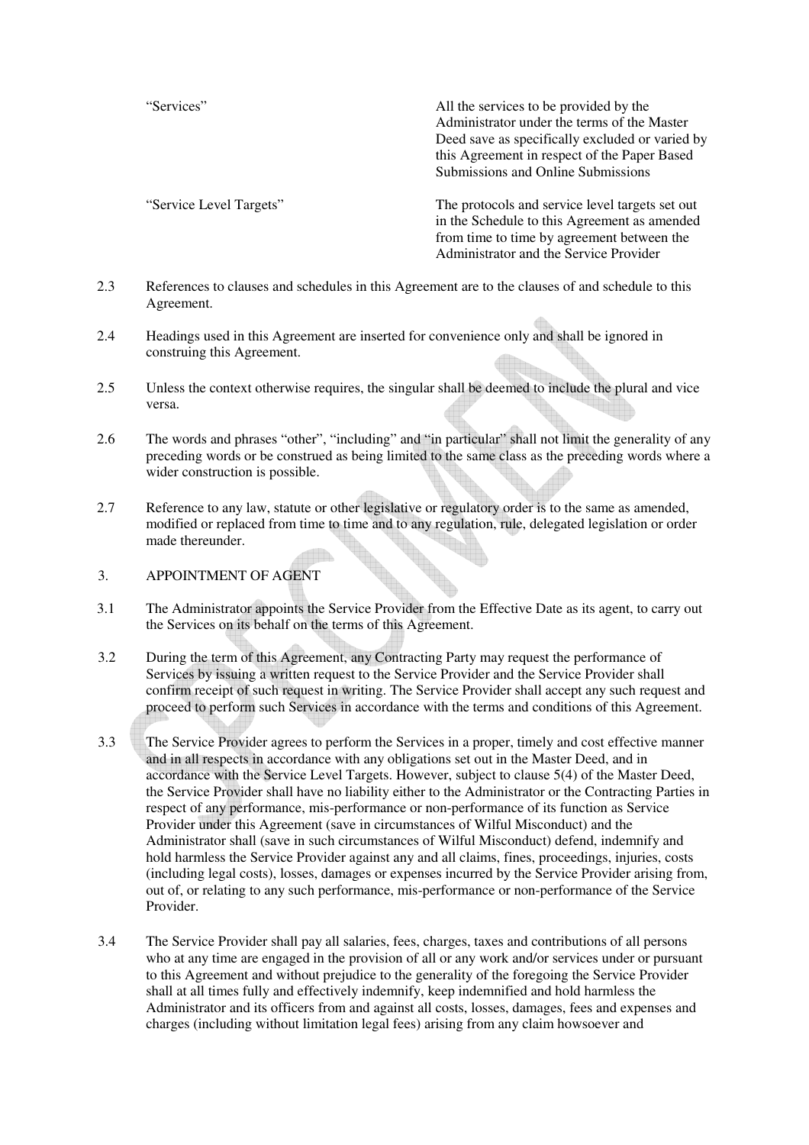"Services" All the services to be provided by the Administrator under the terms of the Master Deed save as specifically excluded or varied by this Agreement in respect of the Paper Based Submissions and Online Submissions

"Service Level Targets" The protocols and service level targets set out in the Schedule to this Agreement as amended from time to time by agreement between the Administrator and the Service Provider

- 2.3 References to clauses and schedules in this Agreement are to the clauses of and schedule to this Agreement.
- 2.4 Headings used in this Agreement are inserted for convenience only and shall be ignored in construing this Agreement.
- 2.5 Unless the context otherwise requires, the singular shall be deemed to include the plural and vice versa.
- 2.6 The words and phrases "other", "including" and "in particular" shall not limit the generality of any preceding words or be construed as being limited to the same class as the preceding words where a wider construction is possible.
- 2.7 Reference to any law, statute or other legislative or regulatory order is to the same as amended, modified or replaced from time to time and to any regulation, rule, delegated legislation or order made thereunder.
- 3. APPOINTMENT OF AGENT
- 3.1 The Administrator appoints the Service Provider from the Effective Date as its agent, to carry out the Services on its behalf on the terms of this Agreement.
- 3.2 During the term of this Agreement, any Contracting Party may request the performance of Services by issuing a written request to the Service Provider and the Service Provider shall confirm receipt of such request in writing. The Service Provider shall accept any such request and proceed to perform such Services in accordance with the terms and conditions of this Agreement.
- 3.3 The Service Provider agrees to perform the Services in a proper, timely and cost effective manner and in all respects in accordance with any obligations set out in the Master Deed, and in accordance with the Service Level Targets. However, subject to clause 5(4) of the Master Deed, the Service Provider shall have no liability either to the Administrator or the Contracting Parties in respect of any performance, mis-performance or non-performance of its function as Service Provider under this Agreement (save in circumstances of Wilful Misconduct) and the Administrator shall (save in such circumstances of Wilful Misconduct) defend, indemnify and hold harmless the Service Provider against any and all claims, fines, proceedings, injuries, costs (including legal costs), losses, damages or expenses incurred by the Service Provider arising from, out of, or relating to any such performance, mis-performance or non-performance of the Service Provider.
- 3.4 The Service Provider shall pay all salaries, fees, charges, taxes and contributions of all persons who at any time are engaged in the provision of all or any work and/or services under or pursuant to this Agreement and without prejudice to the generality of the foregoing the Service Provider shall at all times fully and effectively indemnify, keep indemnified and hold harmless the Administrator and its officers from and against all costs, losses, damages, fees and expenses and charges (including without limitation legal fees) arising from any claim howsoever and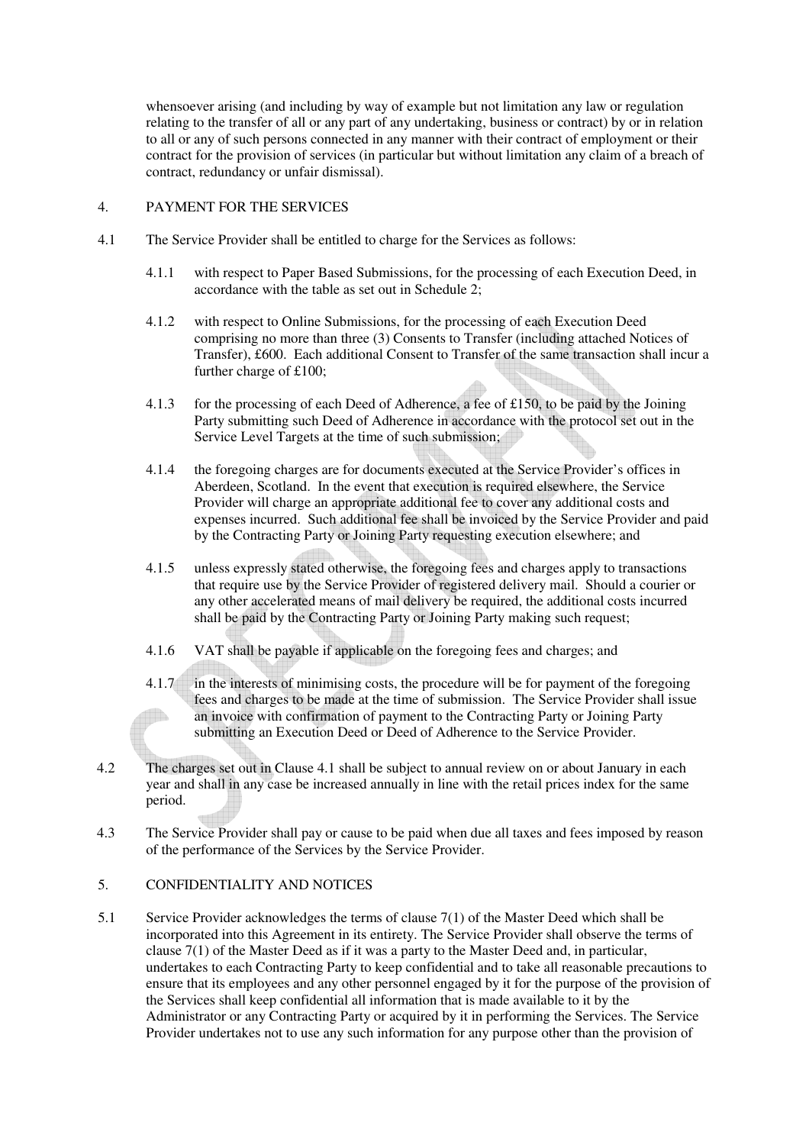whensoever arising (and including by way of example but not limitation any law or regulation relating to the transfer of all or any part of any undertaking, business or contract) by or in relation to all or any of such persons connected in any manner with their contract of employment or their contract for the provision of services (in particular but without limitation any claim of a breach of contract, redundancy or unfair dismissal).

#### 4. PAYMENT FOR THE SERVICES

- 4.1 The Service Provider shall be entitled to charge for the Services as follows:
	- 4.1.1 with respect to Paper Based Submissions, for the processing of each Execution Deed, in accordance with the table as set out in Schedule 2;
	- 4.1.2 with respect to Online Submissions, for the processing of each Execution Deed comprising no more than three (3) Consents to Transfer (including attached Notices of Transfer), £600. Each additional Consent to Transfer of the same transaction shall incur a further charge of £100;
	- 4.1.3 for the processing of each Deed of Adherence, a fee of £150, to be paid by the Joining Party submitting such Deed of Adherence in accordance with the protocol set out in the Service Level Targets at the time of such submission;
	- 4.1.4 the foregoing charges are for documents executed at the Service Provider's offices in Aberdeen, Scotland. In the event that execution is required elsewhere, the Service Provider will charge an appropriate additional fee to cover any additional costs and expenses incurred. Such additional fee shall be invoiced by the Service Provider and paid by the Contracting Party or Joining Party requesting execution elsewhere; and
	- 4.1.5 unless expressly stated otherwise, the foregoing fees and charges apply to transactions that require use by the Service Provider of registered delivery mail. Should a courier or any other accelerated means of mail delivery be required, the additional costs incurred shall be paid by the Contracting Party or Joining Party making such request;
	- 4.1.6 VAT shall be payable if applicable on the foregoing fees and charges; and
	- 4.1.7 in the interests of minimising costs, the procedure will be for payment of the foregoing fees and charges to be made at the time of submission. The Service Provider shall issue  $\blacksquare$ an invoice with confirmation of payment to the Contracting Party or Joining Party submitting an Execution Deed or Deed of Adherence to the Service Provider.
- 4.2 The charges set out in Clause 4.1 shall be subject to annual review on or about January in each year and shall in any case be increased annually in line with the retail prices index for the same period.
- 4.3 The Service Provider shall pay or cause to be paid when due all taxes and fees imposed by reason of the performance of the Services by the Service Provider.

#### 5. CONFIDENTIALITY AND NOTICES

5.1 Service Provider acknowledges the terms of clause 7(1) of the Master Deed which shall be incorporated into this Agreement in its entirety. The Service Provider shall observe the terms of clause 7(1) of the Master Deed as if it was a party to the Master Deed and, in particular, undertakes to each Contracting Party to keep confidential and to take all reasonable precautions to ensure that its employees and any other personnel engaged by it for the purpose of the provision of the Services shall keep confidential all information that is made available to it by the Administrator or any Contracting Party or acquired by it in performing the Services. The Service Provider undertakes not to use any such information for any purpose other than the provision of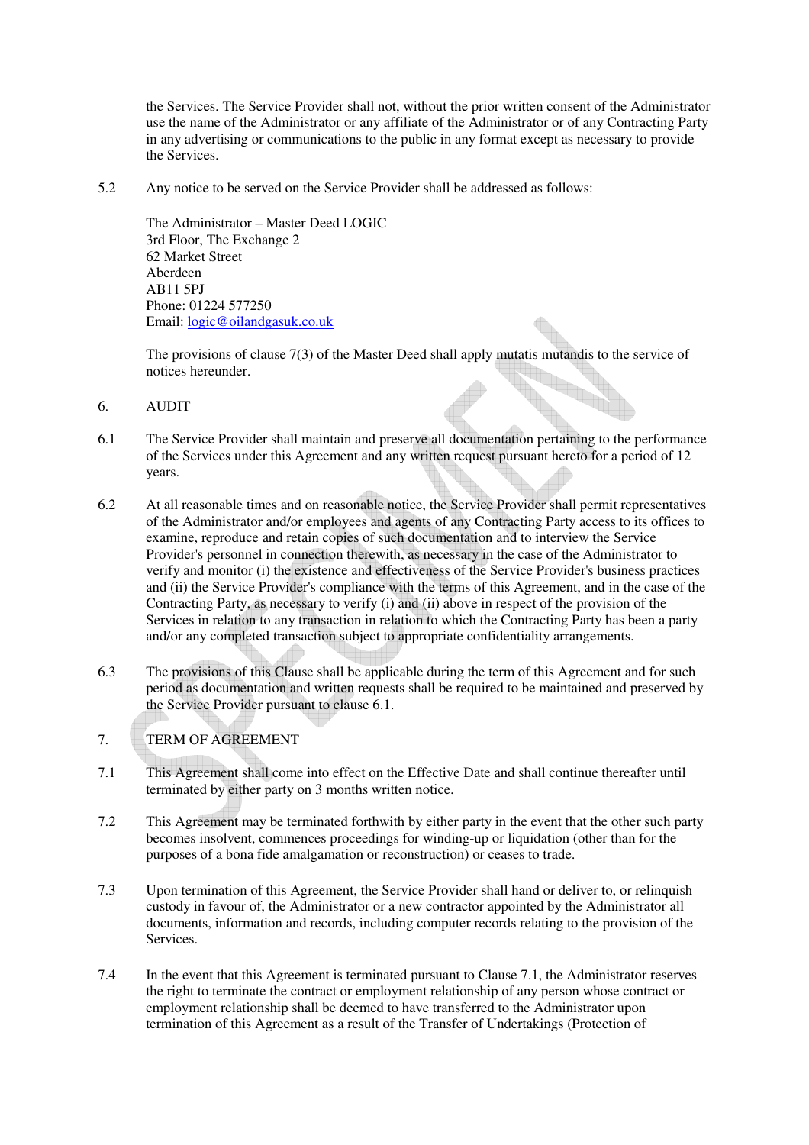the Services. The Service Provider shall not, without the prior written consent of the Administrator use the name of the Administrator or any affiliate of the Administrator or of any Contracting Party in any advertising or communications to the public in any format except as necessary to provide the Services.

5.2 Any notice to be served on the Service Provider shall be addressed as follows:

The Administrator – Master Deed LOGIC 3rd Floor, The Exchange 2 62 Market Street Aberdeen AB11 5PJ Phone: 01224 577250 Email: logic@oilandgasuk.co.uk

The provisions of clause 7(3) of the Master Deed shall apply mutatis mutandis to the service of notices hereunder. 12 May 2011

- 6. AUDIT
- 6.1 The Service Provider shall maintain and preserve all documentation pertaining to the performance of the Services under this Agreement and any written request pursuant hereto for a period of 12 years.
- 6.2 At all reasonable times and on reasonable notice, the Service Provider shall permit representatives of the Administrator and/or employees and agents of any Contracting Party access to its offices to examine, reproduce and retain copies of such documentation and to interview the Service Provider's personnel in connection therewith, as necessary in the case of the Administrator to verify and monitor (i) the existence and effectiveness of the Service Provider's business practices and (ii) the Service Provider's compliance with the terms of this Agreement, and in the case of the Contracting Party, as necessary to verify (i) and (ii) above in respect of the provision of the Services in relation to any transaction in relation to which the Contracting Party has been a party and/or any completed transaction subject to appropriate confidentiality arrangements.
- 6.3 The provisions of this Clause shall be applicable during the term of this Agreement and for such period as documentation and written requests shall be required to be maintained and preserved by the Service Provider pursuant to clause 6.1.

## 7. TERM OF AGREEMENT

- 7.1 This Agreement shall come into effect on the Effective Date and shall continue thereafter until terminated by either party on 3 months written notice.
- 7.2 This Agreement may be terminated forthwith by either party in the event that the other such party becomes insolvent, commences proceedings for winding-up or liquidation (other than for the purposes of a bona fide amalgamation or reconstruction) or ceases to trade.
- 7.3 Upon termination of this Agreement, the Service Provider shall hand or deliver to, or relinquish custody in favour of, the Administrator or a new contractor appointed by the Administrator all documents, information and records, including computer records relating to the provision of the Services.
- 7.4 In the event that this Agreement is terminated pursuant to Clause 7.1, the Administrator reserves the right to terminate the contract or employment relationship of any person whose contract or employment relationship shall be deemed to have transferred to the Administrator upon termination of this Agreement as a result of the Transfer of Undertakings (Protection of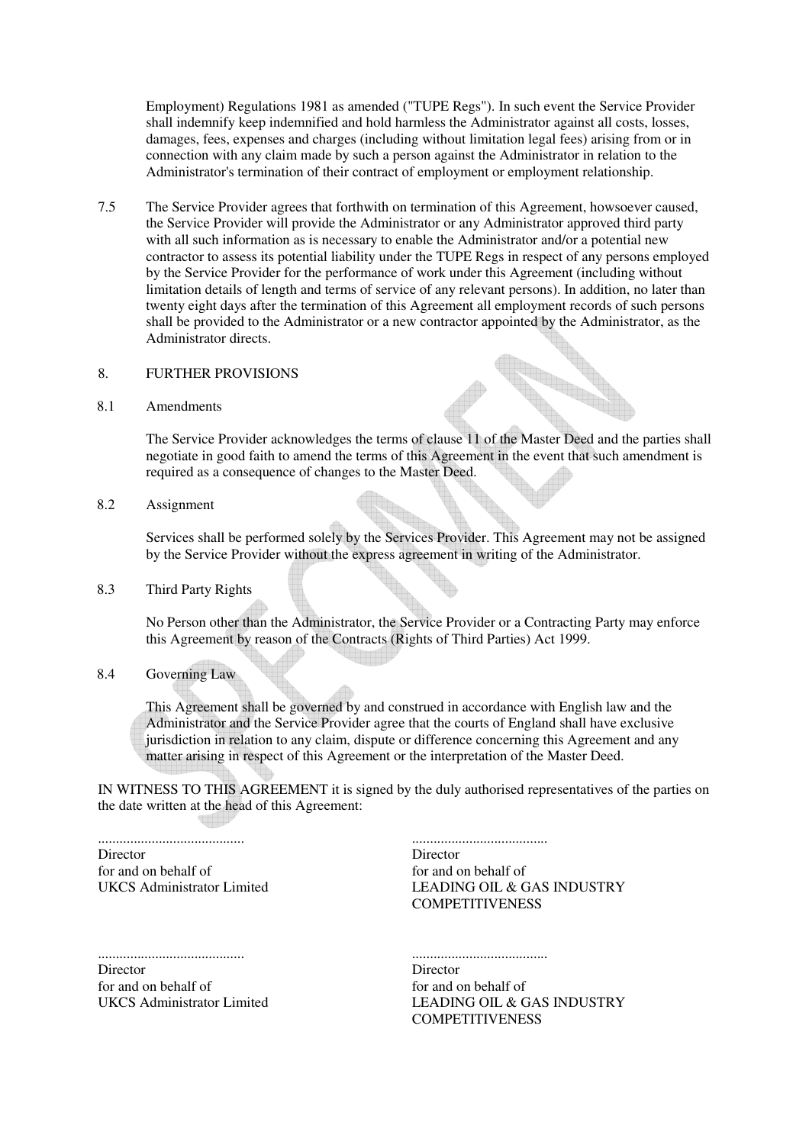Employment) Regulations 1981 as amended ("TUPE Regs"). In such event the Service Provider shall indemnify keep indemnified and hold harmless the Administrator against all costs, losses, damages, fees, expenses and charges (including without limitation legal fees) arising from or in connection with any claim made by such a person against the Administrator in relation to the Administrator's termination of their contract of employment or employment relationship.

7.5 The Service Provider agrees that forthwith on termination of this Agreement, howsoever caused, the Service Provider will provide the Administrator or any Administrator approved third party with all such information as is necessary to enable the Administrator and/or a potential new contractor to assess its potential liability under the TUPE Regs in respect of any persons employed by the Service Provider for the performance of work under this Agreement (including without limitation details of length and terms of service of any relevant persons). In addition, no later than twenty eight days after the termination of this Agreement all employment records of such persons shall be provided to the Administrator or a new contractor appointed by the Administrator, as the Administrator directs.

#### 8. FURTHER PROVISIONS

8.1 Amendments

The Service Provider acknowledges the terms of clause 11 of the Master Deed and the parties shall negotiate in good faith to amend the terms of this Agreement in the event that such amendment is required as a consequence of changes to the Master Deed.

8.2 Assignment

Services shall be performed solely by the Services Provider. This Agreement may not be assigned by the Service Provider without the express agreement in writing of the Administrator.

8.3 Third Party Rights

No Person other than the Administrator, the Service Provider or a Contracting Party may enforce this Agreement by reason of the Contracts (Rights of Third Parties) Act 1999.

8.4 Governing Law

This Agreement shall be governed by and construed in accordance with English law and the Administrator and the Service Provider agree that the courts of England shall have exclusive jurisdiction in relation to any claim, dispute or difference concerning this Agreement and any matter arising in respect of this Agreement or the interpretation of the Master Deed.

IN WITNESS TO THIS AGREEMENT it is signed by the duly authorised representatives of the parties on the date written at the head of this Agreement:

......................................... **Director** for and on behalf of UKCS Administrator Limited

**Director** for and on behalf of LEADING OIL & GAS INDUSTRY **COMPETITIVENESS** 

......................................

......................................... Director for and on behalf of UKCS Administrator Limited

...................................... **Director** for and on behalf of LEADING OIL & GAS INDUSTRY **COMPETITIVENESS**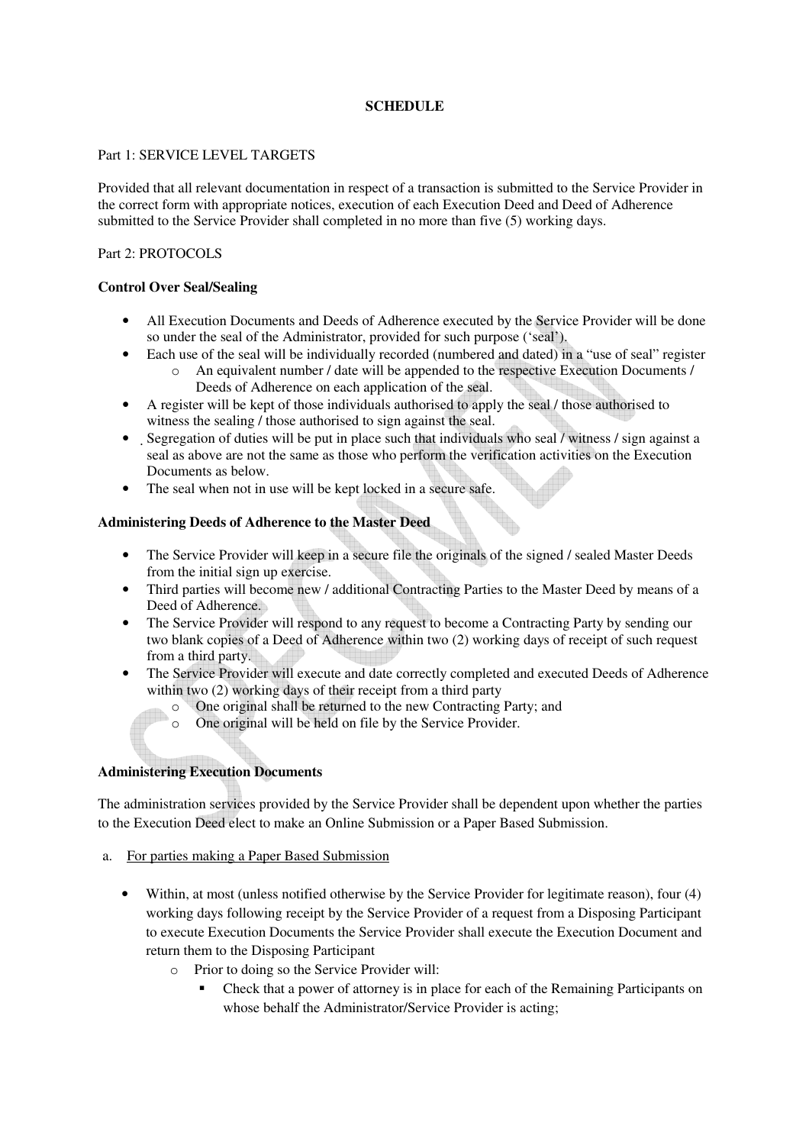### **SCHEDULE**

#### Part 1: SERVICE LEVEL TARGETS

Provided that all relevant documentation in respect of a transaction is submitted to the Service Provider in the correct form with appropriate notices, execution of each Execution Deed and Deed of Adherence submitted to the Service Provider shall completed in no more than five (5) working days.

### Part 2: PROTOCOLS

### **Control Over Seal/Sealing**

- All Execution Documents and Deeds of Adherence executed by the Service Provider will be done so under the seal of the Administrator, provided for such purpose ('seal').
- Each use of the seal will be individually recorded (numbered and dated) in a "use of seal" register o An equivalent number / date will be appended to the respective Execution Documents / Deeds of Adherence on each application of the seal.
- A register will be kept of those individuals authorised to apply the seal / those authorised to witness the sealing / those authorised to sign against the seal.
- Segregation of duties will be put in place such that individuals who seal / witness / sign against a seal as above are not the same as those who perform the verification activities on the Execution Documents as below.
- The seal when not in use will be kept locked in a secure safe.

### **Administering Deeds of Adherence to the Master Deed**

- The Service Provider will keep in a secure file the originals of the signed / sealed Master Deeds from the initial sign up exercise.
- Third parties will become new / additional Contracting Parties to the Master Deed by means of a Deed of Adherence.
- The Service Provider will respond to any request to become a Contracting Party by sending our two blank copies of a Deed of Adherence within two (2) working days of receipt of such request from a third party.
- The Service Provider will execute and date correctly completed and executed Deeds of Adherence within two (2) working days of their receipt from a third party
	- o One original shall be returned to the new Contracting Party; and
	- o One original will be held on file by the Service Provider.

### **Administering Execution Documents**

The administration services provided by the Service Provider shall be dependent upon whether the parties to the Execution Deed elect to make an Online Submission or a Paper Based Submission.

- a. For parties making a Paper Based Submission
	- Within, at most (unless notified otherwise by the Service Provider for legitimate reason), four (4) working days following receipt by the Service Provider of a request from a Disposing Participant to execute Execution Documents the Service Provider shall execute the Execution Document and return them to the Disposing Participant
		- o Prior to doing so the Service Provider will:
			- Check that a power of attorney is in place for each of the Remaining Participants on whose behalf the Administrator/Service Provider is acting;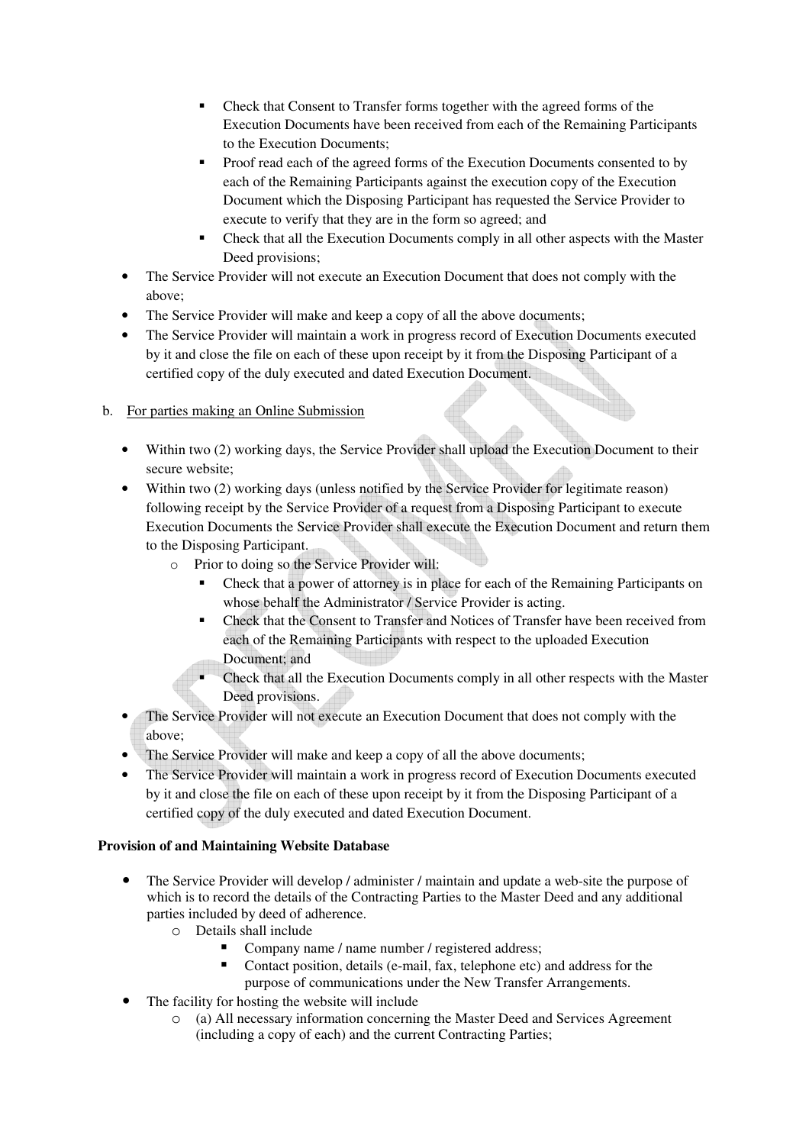- Check that Consent to Transfer forms together with the agreed forms of the Execution Documents have been received from each of the Remaining Participants to the Execution Documents;
- **Proof read each of the agreed forms of the Execution Documents consented to by** each of the Remaining Participants against the execution copy of the Execution Document which the Disposing Participant has requested the Service Provider to execute to verify that they are in the form so agreed; and
- Check that all the Execution Documents comply in all other aspects with the Master Deed provisions;
- The Service Provider will not execute an Execution Document that does not comply with the above;
- The Service Provider will make and keep a copy of all the above documents;
- The Service Provider will maintain a work in progress record of Execution Documents executed by it and close the file on each of these upon receipt by it from the Disposing Participant of a certified copy of the duly executed and dated Execution Document.

# b. For parties making an Online Submission

- Within two (2) working days, the Service Provider shall upload the Execution Document to their secure website;
- Within two (2) working days (unless notified by the Service Provider for legitimate reason) following receipt by the Service Provider of a request from a Disposing Participant to execute Execution Documents the Service Provider shall execute the Execution Document and return them to the Disposing Participant.
	- o Prior to doing so the Service Provider will:
		- Check that a power of attorney is in place for each of the Remaining Participants on whose behalf the Administrator / Service Provider is acting.
		- Check that the Consent to Transfer and Notices of Transfer have been received from each of the Remaining Participants with respect to the uploaded Execution Document; and
		- **Check that all the Execution Documents comply in all other respects with the Master** Deed provisions.
- The Service Provider will not execute an Execution Document that does not comply with the above;
- The Service Provider will make and keep a copy of all the above documents;
- The Service Provider will maintain a work in progress record of Execution Documents executed by it and close the file on each of these upon receipt by it from the Disposing Participant of a certified copy of the duly executed and dated Execution Document.

## **Provision of and Maintaining Website Database**

- The Service Provider will develop / administer / maintain and update a web-site the purpose of which is to record the details of the Contracting Parties to the Master Deed and any additional parties included by deed of adherence.
	- o Details shall include
		- Company name / name number / registered address;
		- Contact position, details (e-mail, fax, telephone etc) and address for the purpose of communications under the New Transfer Arrangements.
- The facility for hosting the website will include
	- o (a) All necessary information concerning the Master Deed and Services Agreement (including a copy of each) and the current Contracting Parties;